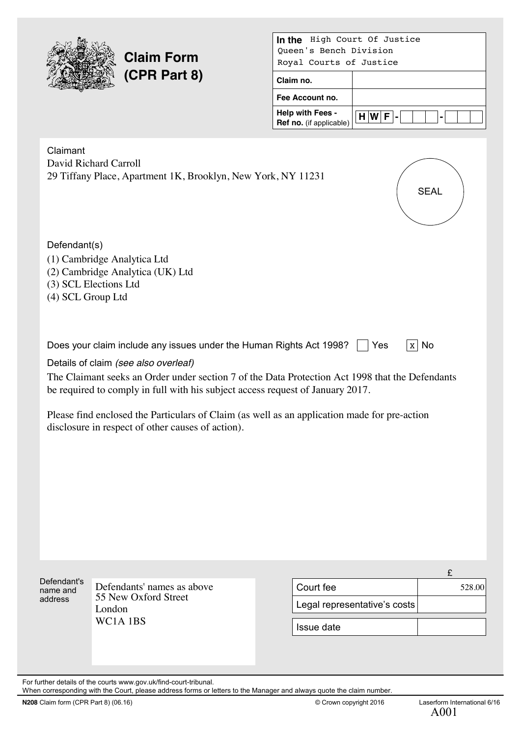

# **Claim Form (CPR Part 8)**

| High Court Of Justice<br>In the                    |             |  |  |
|----------------------------------------------------|-------------|--|--|
| Oueen's Bench Division                             |             |  |  |
| Royal Courts of Justice                            |             |  |  |
| Claim no.                                          |             |  |  |
| Fee Account no.                                    |             |  |  |
| <b>Help with Fees -</b><br>Ref no. (if applicable) | $H[W F -1]$ |  |  |

| Claimant<br>Defendant(s) | David Richard Carroll<br>29 Tiffany Place, Apartment 1K, Brooklyn, New York, NY 11231<br>(1) Cambridge Analytica Ltd<br>(2) Cambridge Analytica (UK) Ltd<br>(3) SCL Elections Ltd                                                                                                                                                      |                              | <b>SEAL</b> |
|--------------------------|----------------------------------------------------------------------------------------------------------------------------------------------------------------------------------------------------------------------------------------------------------------------------------------------------------------------------------------|------------------------------|-------------|
| (4) SCL Group Ltd        | Does your claim include any issues under the Human Rights Act 1998?<br>Details of claim (see also overleaf)                                                                                                                                                                                                                            | Yes                          | $x \mid$ No |
|                          | The Claimant seeks an Order under section 7 of the Data Protection Act 1998 that the Defendants<br>be required to comply in full with his subject access request of January 2017.<br>Please find enclosed the Particulars of Claim (as well as an application made for pre-action<br>disclosure in respect of other causes of action). |                              |             |
|                          |                                                                                                                                                                                                                                                                                                                                        |                              |             |
| Defendant's              |                                                                                                                                                                                                                                                                                                                                        |                              | £           |
| name and<br>address      | Defendants' names as above<br>55 New Oxford Street                                                                                                                                                                                                                                                                                     | Court fee                    | 528.00      |
|                          | $I$ ondon                                                                                                                                                                                                                                                                                                                              | Legal representative's costs |             |

London WC1A 1BS

Issue date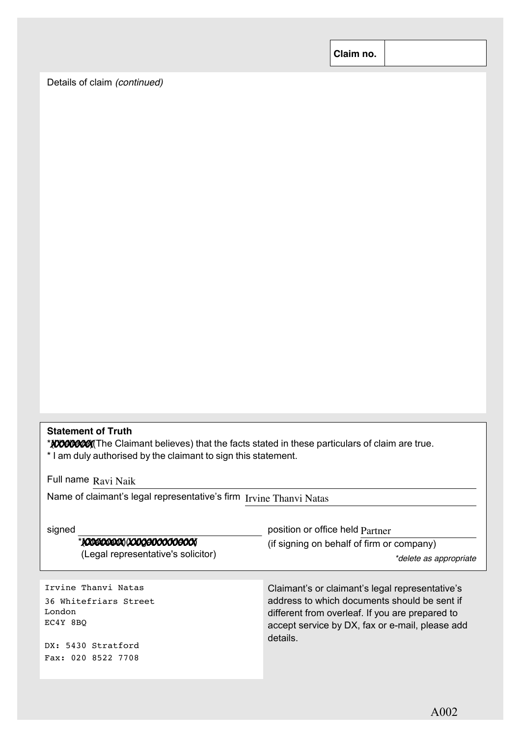**Claim no.**

Details of claim *(continued)*

# **Statement of Truth**

\*(I believe)(The Claimant believes) that the facts stated in these particulars of claim are true. *XXXXXXXX* \* I am duly authorised by the claimant to sign this statement.

Full name Ravi Naik

Name of claimant's legal representative's firm Irvine Thanvi Natas

| signed                                                                                                         | position or office held Partner                                                                                                                                                                                   |
|----------------------------------------------------------------------------------------------------------------|-------------------------------------------------------------------------------------------------------------------------------------------------------------------------------------------------------------------|
| * KONSKONSKO (KONGENOOGOGOGOGO                                                                                 | (if signing on behalf of firm or company)                                                                                                                                                                         |
| (Legal representative's solicitor)                                                                             | *delete as appropriate                                                                                                                                                                                            |
| Irvine Thanvi Natas<br>36 Whitefriars Street<br>London<br>EC4Y 8BO<br>DX: 5430 Stratford<br>Fax: 020 8522 7708 | Claimant's or claimant's legal representative's<br>address to which documents should be sent if<br>different from overleaf. If you are prepared to<br>accept service by DX, fax or e-mail, please add<br>details. |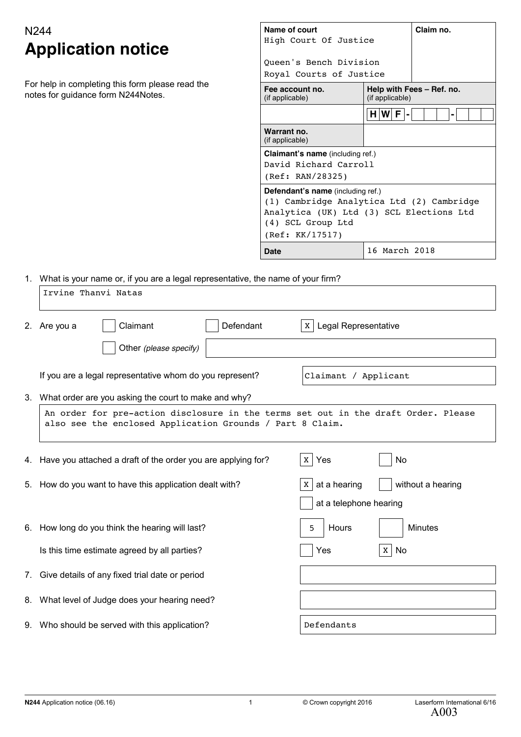# **Application notice**

| N244<br><b>Application notice</b>                                                      | Name of court<br>High Court Of Justice                                                                                                                                    |                                              | Claim no. |
|----------------------------------------------------------------------------------------|---------------------------------------------------------------------------------------------------------------------------------------------------------------------------|----------------------------------------------|-----------|
|                                                                                        | Oueen's Bench Division<br>Royal Courts of Justice                                                                                                                         |                                              |           |
| For help in completing this form please read the<br>notes for guidance form N244Notes. | Fee account no.<br>(if applicable)                                                                                                                                        | Help with Fees - Ref. no.<br>(if applicable) |           |
|                                                                                        |                                                                                                                                                                           | $H[W F -$                                    |           |
|                                                                                        | Warrant no.<br>(if applicable)                                                                                                                                            |                                              |           |
|                                                                                        | <b>Claimant's name</b> (including ref.)<br>David Richard Carroll<br>(Ref: RAN/28325)                                                                                      |                                              |           |
|                                                                                        | <b>Defendant's name</b> (including ref.)<br>(1) Cambridge Analytica Ltd (2) Cambridge<br>Analytica (UK) Ltd (3) SCL Elections Ltd<br>(4) SCL Group Ltd<br>(Ref: KK/17517) |                                              |           |
|                                                                                        | Date                                                                                                                                                                      | 16 March 2018                                |           |

1. What is your name or, if you are a legal representative, the name of your firm?

|    | Irvine Thanvi Natas                                                                                                                             |                                        |  |  |  |  |
|----|-------------------------------------------------------------------------------------------------------------------------------------------------|----------------------------------------|--|--|--|--|
|    | Claimant<br>Defendant<br>2. Are you a                                                                                                           | <b>Legal Representative</b><br>X       |  |  |  |  |
|    | Other (please specify)                                                                                                                          |                                        |  |  |  |  |
|    | If you are a legal representative whom do you represent?                                                                                        | Claimant / Applicant                   |  |  |  |  |
| 3. | What order are you asking the court to make and why?                                                                                            |                                        |  |  |  |  |
|    | An order for pre-action disclosure in the terms set out in the draft Order. Please<br>also see the enclosed Application Grounds / Part 8 Claim. |                                        |  |  |  |  |
|    | 4. Have you attached a draft of the order you are applying for?                                                                                 | Yes<br>No<br>X                         |  |  |  |  |
|    | 5. How do you want to have this application dealt with?                                                                                         | at a hearing<br>without a hearing<br>X |  |  |  |  |
|    |                                                                                                                                                 | at a telephone hearing                 |  |  |  |  |
|    | 6. How long do you think the hearing will last?                                                                                                 | 5<br>Hours<br><b>Minutes</b>           |  |  |  |  |
|    | Is this time estimate agreed by all parties?                                                                                                    | $\mathbf X$<br>No<br>Yes               |  |  |  |  |
| 7. | Give details of any fixed trial date or period                                                                                                  |                                        |  |  |  |  |
| 8. | What level of Judge does your hearing need?                                                                                                     |                                        |  |  |  |  |
|    | 9. Who should be served with this application?                                                                                                  | Defendants                             |  |  |  |  |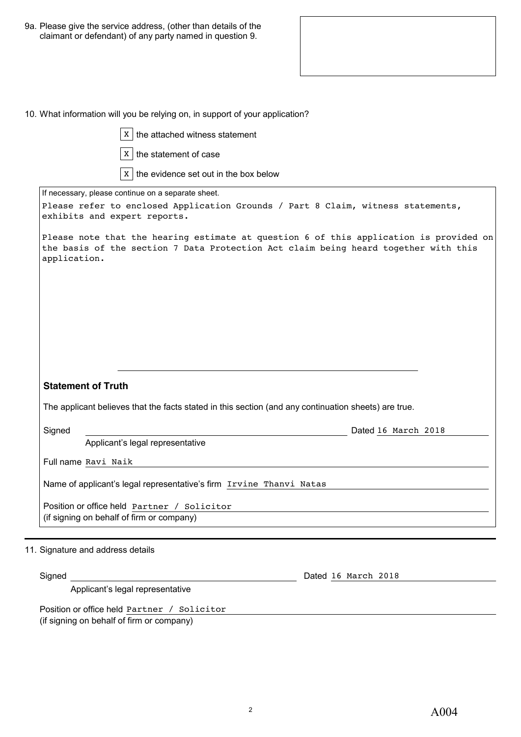9a. Please give the service address, (other than details of the claimant or defendant) of any party named in question 9.

|  | 10. What information will you be relying on, in support of your application? |  |  |  |  |
|--|------------------------------------------------------------------------------|--|--|--|--|
|--|------------------------------------------------------------------------------|--|--|--|--|

| $x \mid$ the attached witness statement                                                                                           |                                                                                                                                                                               |
|-----------------------------------------------------------------------------------------------------------------------------------|-------------------------------------------------------------------------------------------------------------------------------------------------------------------------------|
| $x \mid$ the statement of case                                                                                                    |                                                                                                                                                                               |
| $x \mid$ the evidence set out in the box below                                                                                    |                                                                                                                                                                               |
| If necessary, please continue on a separate sheet.                                                                                |                                                                                                                                                                               |
| exhibits and expert reports.                                                                                                      | Please refer to enclosed Application Grounds / Part 8 Claim, witness statements,                                                                                              |
| application.                                                                                                                      | Please note that the hearing estimate at question 6 of this application is provided on<br>the basis of the section 7 Data Protection Act claim being heard together with this |
| <b>Statement of Truth</b><br>The applicant believes that the facts stated in this section (and any continuation sheets) are true. |                                                                                                                                                                               |
| Signed                                                                                                                            | Dated 16 March 2018<br><u> 1980 - Johann Barbara, martin a</u>                                                                                                                |
| Applicant's legal representative                                                                                                  |                                                                                                                                                                               |
| Full name Ravi Naik                                                                                                               |                                                                                                                                                                               |
| Name of applicant's legal representative's firm Irvine Thanvi Natas                                                               |                                                                                                                                                                               |
| Position or office held Partner / Solicitor                                                                                       |                                                                                                                                                                               |
| (if signing on behalf of firm or company)                                                                                         |                                                                                                                                                                               |
|                                                                                                                                   |                                                                                                                                                                               |
| 11. Signature and address details                                                                                                 |                                                                                                                                                                               |

Applicant's legal representative

Position or office held Partner / Solicitor (if signing on behalf of firm or company)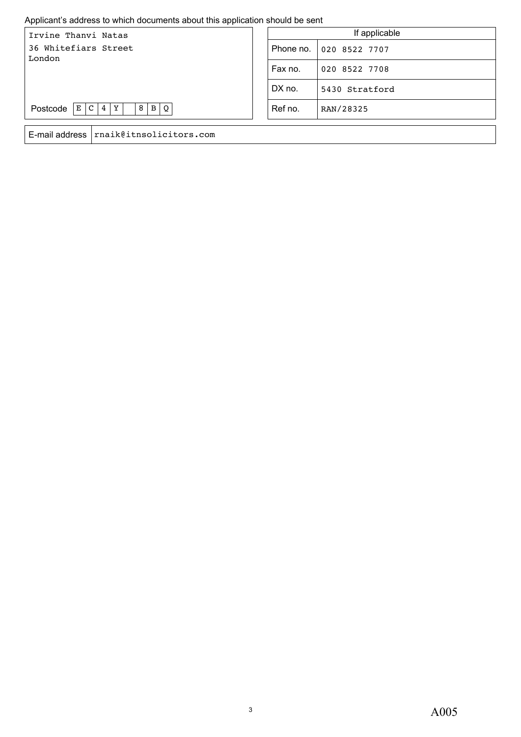#### Applicant's address to which documents about this application should be sent

| Irvine Thanvi Natas                                            | If applicable |                |
|----------------------------------------------------------------|---------------|----------------|
| 36 Whitefiars Street<br>London                                 | Phone no.     | 020 8522 7707  |
|                                                                | Fax no.       | 020 8522 7708  |
|                                                                | DX no.        | 5430 Stratford |
| Postcode<br>$\vert$ B<br>  E   C  <br>$\Omega$<br>Y<br>8<br>.4 | Ref no.       | RAN/28325      |
| E-mail address rnaik@itnsolicitors.com                         |               |                |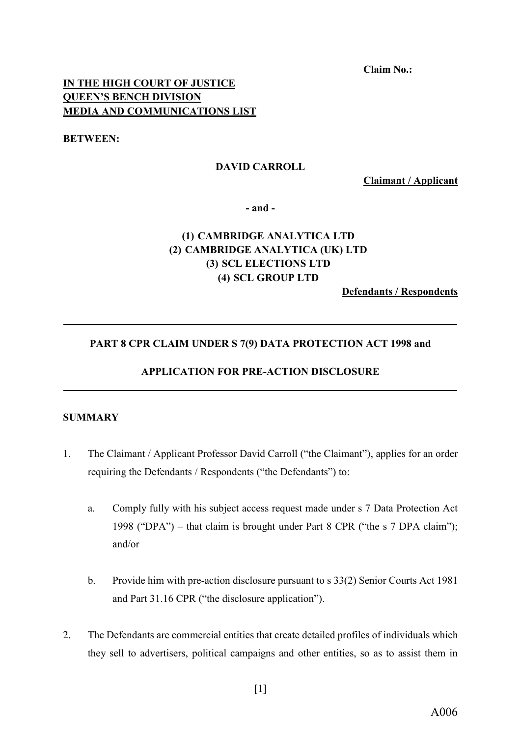**Claim No.:**

## **IN THE HIGH COURT OF JUSTICE QUEEN'S BENCH DIVISION MEDIA AND COMMUNICATIONS LIST**

**BETWEEN:**

#### **DAVID CARROLL**

**Claimant / Applicant**

**- and -**

# **(1) CAMBRIDGE ANALYTICA LTD (2) CAMBRIDGE ANALYTICA (UK) LTD (3) SCL ELECTIONS LTD (4) SCL GROUP LTD**

**Defendants / Respondents**

#### **PART 8 CPR CLAIM UNDER S 7(9) DATA PROTECTION ACT 1998 and**

**\_\_\_\_\_\_\_\_\_\_\_\_\_\_\_\_\_\_\_\_\_\_\_\_\_\_\_\_\_\_\_\_\_\_\_\_\_\_\_\_\_\_\_\_\_\_\_\_\_\_\_\_\_\_\_\_\_\_\_\_\_\_\_\_\_\_\_\_\_\_\_\_\_\_\_**

#### **APPLICATION FOR PRE-ACTION DISCLOSURE \_\_\_\_\_\_\_\_\_\_\_\_\_\_\_\_\_\_\_\_\_\_\_\_\_\_\_\_\_\_\_\_\_\_\_\_\_\_\_\_\_\_\_\_\_\_\_\_\_\_\_\_\_\_\_\_\_\_\_\_\_\_\_\_\_\_\_\_\_\_\_\_\_\_\_**

#### **SUMMARY**

- 1. The Claimant / Applicant Professor David Carroll ("the Claimant"), applies for an order requiring the Defendants / Respondents ("the Defendants") to:
	- a. Comply fully with his subject access request made under s 7 Data Protection Act 1998 ("DPA") – that claim is brought under Part 8 CPR ("the s 7 DPA claim"); and/or
	- b. Provide him with pre-action disclosure pursuant to s 33(2) Senior Courts Act 1981 and Part 31.16 CPR ("the disclosure application").
- 2. The Defendants are commercial entities that create detailed profiles of individuals which they sell to advertisers, political campaigns and other entities, so as to assist them in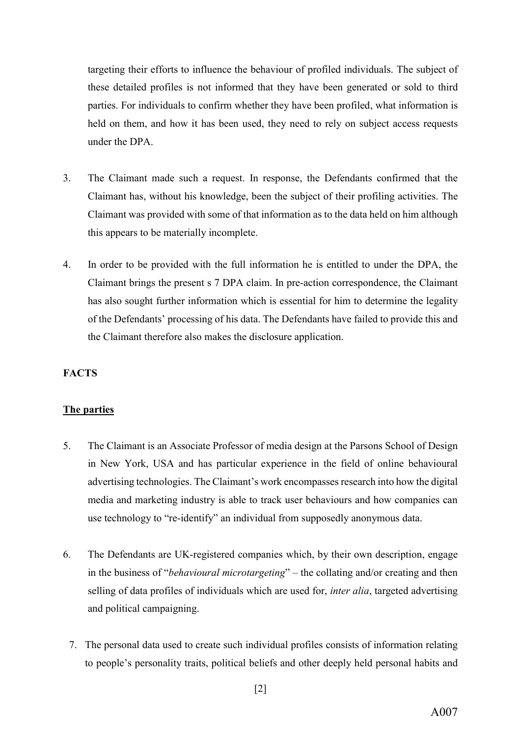targeting their efforts to influence the behaviour of profiled individuals. The subject of these detailed profiles is not informed that they have been generated or sold to third parties. For individuals to confirm whether they have been profiled, what information is held on them, and how it has been used, they need to rely on subject access requests under the DPA.

- 3. The Claimant made such a request. In response, the Defendants confirmed that the Claimant has, without his knowledge, been the subject of their profiling activities. The Claimant was provided with some of that information as to the data held on him although this appears to be materially incomplete.
- 4. In order to be provided with the full information he is entitled to under the DPA, the Claimant brings the present s 7 DPA claim. In pre-action correspondence, the Claimant has also sought further information which is essential for him to determine the legality of the Defendants' processing of his data. The Defendants have failed to provide this and the Claimant therefore also makes the disclosure application.

#### **FACTS**

#### **The parties**

- 5. The Claimant is an Associate Professor of media design at the Parsons School of Design in New York, USA and has particular experience in the field of online behavioural advertising technologies. The Claimant's work encompasses research into how the digital media and marketing industry is able to track user behaviours and how companies can use technology to "re-identify" an individual from supposedly anonymous data.
- 6. The Defendants are UK-registered companies which, by their own description, engage in the business of "*behavioural microtargeting*" – the collating and/or creating and then selling of data profiles of individuals which are used for, *inter alia*, targeted advertising and political campaigning.
	- 7. The personal data used to create such individual profiles consists of information relating to people's personality traits, political beliefs and other deeply held personal habits and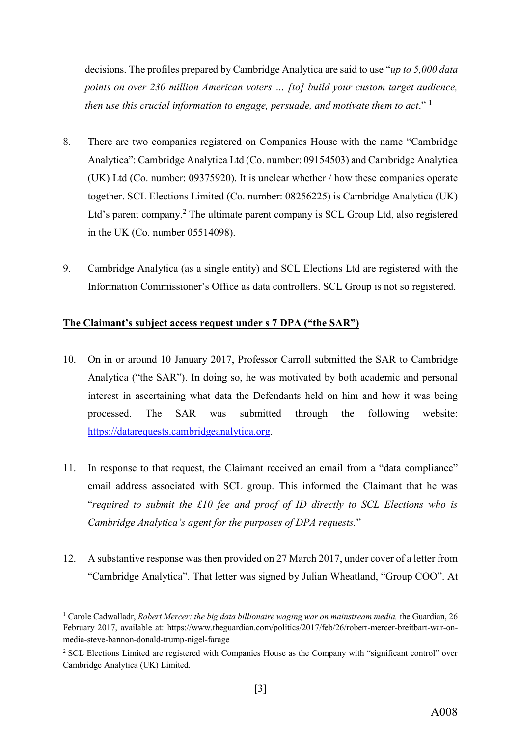decisions. The profiles prepared by Cambridge Analytica are said to use "*up to 5,000 data points on over 230 million American voters … [to] build your custom target audience, then use this crucial information to engage, persuade, and motivate them to act*." <sup>1</sup>

- 8. There are two companies registered on Companies House with the name "Cambridge Analytica": Cambridge Analytica Ltd (Co. number: 09154503) and Cambridge Analytica (UK) Ltd (Co. number: 09375920). It is unclear whether / how these companies operate together. SCL Elections Limited (Co. number: 08256225) is Cambridge Analytica (UK) Ltd's parent company.<sup>2</sup> The ultimate parent company is SCL Group Ltd, also registered in the UK (Co. number 05514098).
- 9. Cambridge Analytica (as a single entity) and SCL Elections Ltd are registered with the Information Commissioner's Office as data controllers. SCL Group is not so registered.

#### **The Claimant's subject access request under s 7 DPA ("the SAR")**

- 10. On in or around 10 January 2017, Professor Carroll submitted the SAR to Cambridge Analytica ("the SAR"). In doing so, he was motivated by both academic and personal interest in ascertaining what data the Defendants held on him and how it was being processed. The SAR was submitted through the following website: [https://datarequests.cambridgeanalytica.org.](https://datarequests.cambridgeanalytica.org/)
- 11. In response to that request, the Claimant received an email from a "data compliance" email address associated with SCL group. This informed the Claimant that he was "*required to submit the £10 fee and proof of ID directly to SCL Elections who is Cambridge Analytica's agent for the purposes of DPA requests.*"
- 12. A substantive response was then provided on 27 March 2017, under cover of a letter from "Cambridge Analytica". That letter was signed by Julian Wheatland, "Group COO". At

1

<sup>&</sup>lt;sup>1</sup> Carole Cadwalladr, *Robert Mercer: the big data billionaire waging war on mainstream media, the Guardian, 26* February 2017, available at: [https://www.theguardian.com/politics/2017/feb/26/robert-mercer-breitbart-war-on](https://www.theguardian.com/politics/2017/feb/26/robert-mercer-breitbart-war-on-media-steve-bannon-donald-trump-nigel-farage)[media-steve-bannon-donald-trump-nigel-farage](https://www.theguardian.com/politics/2017/feb/26/robert-mercer-breitbart-war-on-media-steve-bannon-donald-trump-nigel-farage) 

<sup>2</sup> SCL Elections Limited are registered with Companies House as the Company with "significant control" over Cambridge Analytica (UK) Limited.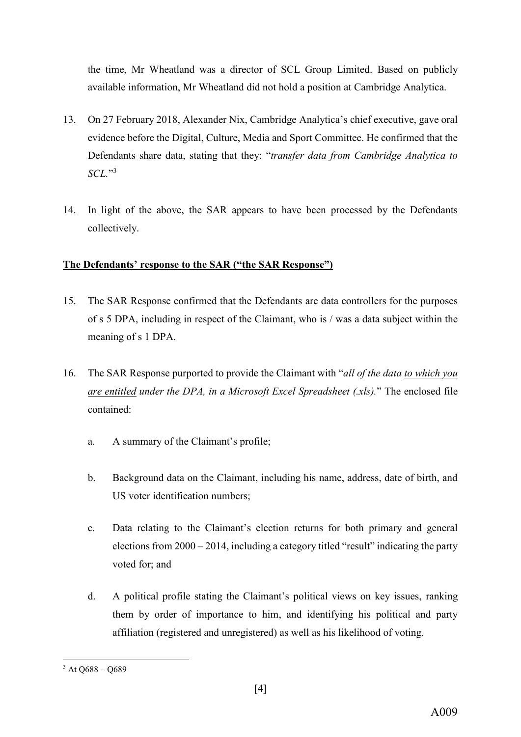the time, Mr Wheatland was a director of SCL Group Limited. Based on publicly available information, Mr Wheatland did not hold a position at Cambridge Analytica.

- 13. On 27 February 2018, Alexander Nix, Cambridge Analytica's chief executive, gave oral evidence before the Digital, Culture, Media and Sport Committee. He confirmed that the Defendants share data, stating that they: "*transfer data from Cambridge Analytica to SCL.*"<sup>3</sup>
- 14. In light of the above, the SAR appears to have been processed by the Defendants collectively.

# **The Defendants' response to the SAR ("the SAR Response")**

- 15. The SAR Response confirmed that the Defendants are data controllers for the purposes of s 5 DPA, including in respect of the Claimant, who is / was a data subject within the meaning of s 1 DPA.
- 16. The SAR Response purported to provide the Claimant with "*all of the data to which you are entitled under the DPA, in a Microsoft Excel Spreadsheet (.xls).*" The enclosed file contained:
	- a. A summary of the Claimant's profile;
	- b. Background data on the Claimant, including his name, address, date of birth, and US voter identification numbers;
	- c. Data relating to the Claimant's election returns for both primary and general elections from 2000 – 2014, including a category titled "result" indicating the party voted for; and
	- d. A political profile stating the Claimant's political views on key issues, ranking them by order of importance to him, and identifying his political and party affiliation (registered and unregistered) as well as his likelihood of voting.

**<sup>.</sup>**  $3$  At O688 – O689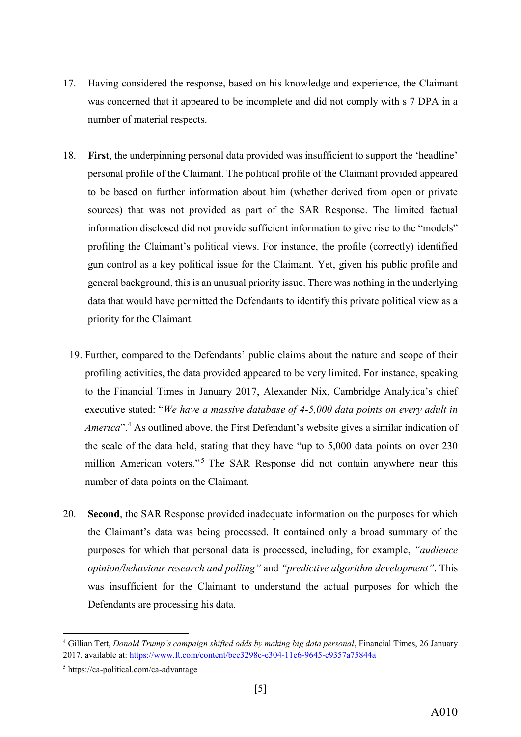- 17. Having considered the response, based on his knowledge and experience, the Claimant was concerned that it appeared to be incomplete and did not comply with s 7 DPA in a number of material respects.
- <span id="page-10-0"></span>18. **First**, the underpinning personal data provided was insufficient to support the 'headline' personal profile of the Claimant. The political profile of the Claimant provided appeared to be based on further information about him (whether derived from open or private sources) that was not provided as part of the SAR Response. The limited factual information disclosed did not provide sufficient information to give rise to the "models" profiling the Claimant's political views. For instance, the profile (correctly) identified gun control as a key political issue for the Claimant. Yet, given his public profile and general background, this is an unusual priority issue. There was nothing in the underlying data that would have permitted the Defendants to identify this private political view as a priority for the Claimant.
	- 19. Further, compared to the Defendants' public claims about the nature and scope of their profiling activities, the data provided appeared to be very limited. For instance, speaking to the Financial Times in January 2017, Alexander Nix, Cambridge Analytica's chief executive stated: "*We have a massive database of 4-5,000 data points on every adult in America*".<sup>4</sup> As outlined above, the First Defendant's website gives a similar indication of the scale of the data held, stating that they have "up to 5,000 data points on over 230 million American voters."<sup>5</sup> The SAR Response did not contain anywhere near this number of data points on the Claimant.
- <span id="page-10-2"></span><span id="page-10-1"></span>20. **Second**, the SAR Response provided inadequate information on the purposes for which the Claimant's data was being processed. It contained only a broad summary of the purposes for which that personal data is processed, including, for example, *"audience opinion/behaviour research and polling"* and *"predictive algorithm development"*. This was insufficient for the Claimant to understand the actual purposes for which the Defendants are processing his data.

 $\overline{a}$ 

<sup>4</sup> Gillian Tett, *Donald Trump's campaign shifted odds by making big data personal*, Financial Times, 26 January 2017, available at:<https://www.ft.com/content/bee3298c-e304-11e6-9645-c9357a75844a>

<sup>5</sup> https://ca-political.com/ca-advantage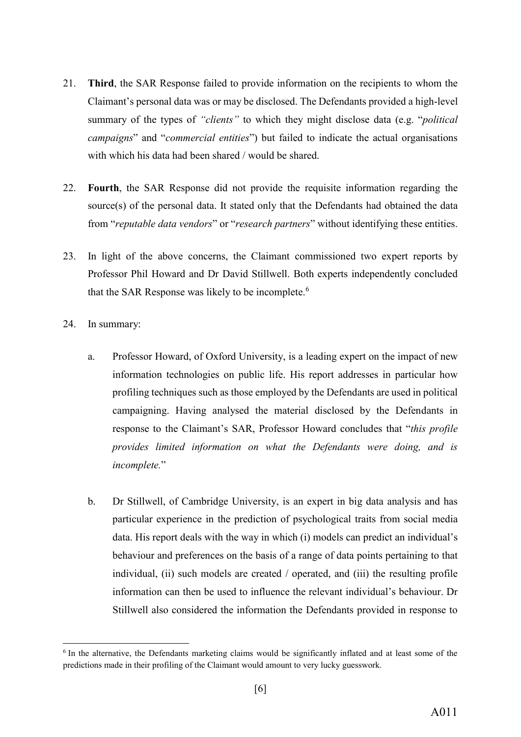- <span id="page-11-0"></span>21. **Third**, the SAR Response failed to provide information on the recipients to whom the Claimant's personal data was or may be disclosed. The Defendants provided a high-level summary of the types of *"clients"* to which they might disclose data (e.g. "*political campaigns*" and "*commercial entities*") but failed to indicate the actual organisations with which his data had been shared / would be shared.
- <span id="page-11-1"></span>22. **Fourth**, the SAR Response did not provide the requisite information regarding the source(s) of the personal data. It stated only that the Defendants had obtained the data from "*reputable data vendors*" or "*research partners*" without identifying these entities.
- <span id="page-11-2"></span>23. In light of the above concerns, the Claimant commissioned two expert reports by Professor Phil Howard and Dr David Stillwell. Both experts independently concluded that the SAR Response was likely to be incomplete.<sup>6</sup>
- <span id="page-11-3"></span>24. In summary:

**.** 

- a. Professor Howard, of Oxford University, is a leading expert on the impact of new information technologies on public life. His report addresses in particular how profiling techniques such as those employed by the Defendants are used in political campaigning. Having analysed the material disclosed by the Defendants in response to the Claimant's SAR, Professor Howard concludes that "*this profile provides limited information on what the Defendants were doing, and is incomplete.*"
- b. Dr Stillwell, of Cambridge University, is an expert in big data analysis and has particular experience in the prediction of psychological traits from social media data. His report deals with the way in which (i) models can predict an individual's behaviour and preferences on the basis of a range of data points pertaining to that individual, (ii) such models are created / operated, and (iii) the resulting profile information can then be used to influence the relevant individual's behaviour. Dr Stillwell also considered the information the Defendants provided in response to

<sup>6</sup> In the alternative, the Defendants marketing claims would be significantly inflated and at least some of the predictions made in their profiling of the Claimant would amount to very lucky guesswork.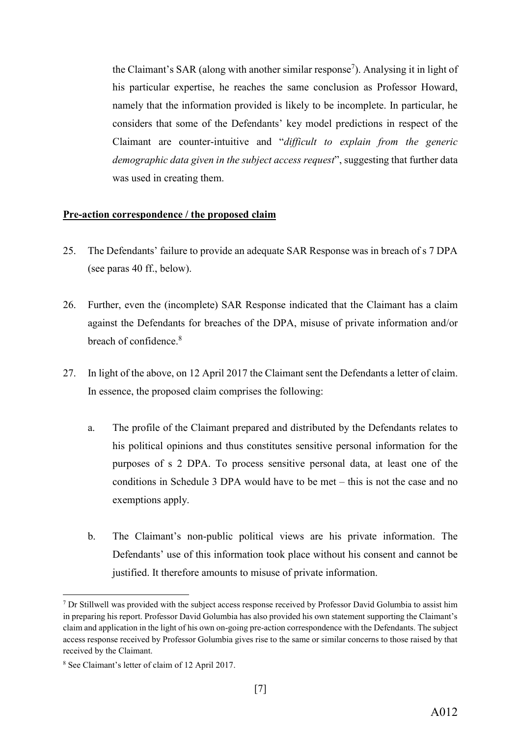the Claimant's SAR (along with another similar response<sup>7</sup>). Analysing it in light of his particular expertise, he reaches the same conclusion as Professor Howard, namely that the information provided is likely to be incomplete. In particular, he considers that some of the Defendants' key model predictions in respect of the Claimant are counter-intuitive and "*difficult to explain from the generic demographic data given in the subject access request*", suggesting that further data was used in creating them.

#### **Pre-action correspondence / the proposed claim**

- <span id="page-12-0"></span>25. The Defendants' failure to provide an adequate SAR Response was in breach of s 7 DPA (see paras [40](#page-18-0) ff., below).
- 26. Further, even the (incomplete) SAR Response indicated that the Claimant has a claim against the Defendants for breaches of the DPA, misuse of private information and/or breach of confidence.<sup>8</sup>
- 27. In light of the above, on 12 April 2017 the Claimant sent the Defendants a letter of claim. In essence, the proposed claim comprises the following:
	- a. The profile of the Claimant prepared and distributed by the Defendants relates to his political opinions and thus constitutes sensitive personal information for the purposes of s 2 DPA. To process sensitive personal data, at least one of the conditions in Schedule 3 DPA would have to be met – this is not the case and no exemptions apply.
	- b. The Claimant's non-public political views are his private information. The Defendants' use of this information took place without his consent and cannot be justified. It therefore amounts to misuse of private information.

**.** 

<sup>&</sup>lt;sup>7</sup> Dr Stillwell was provided with the subject access response received by Professor David Golumbia to assist him in preparing his report. Professor David Golumbia has also provided his own statement supporting the Claimant's claim and application in the light of his own on-going pre-action correspondence with the Defendants. The subject access response received by Professor Golumbia gives rise to the same or similar concerns to those raised by that received by the Claimant.

<sup>8</sup> See Claimant's letter of claim of 12 April 2017.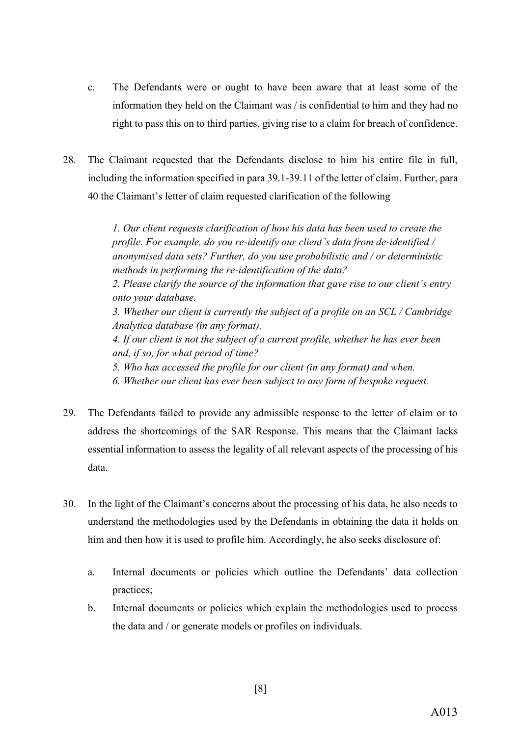- c. The Defendants were or ought to have been aware that at least some of the information they held on the Claimant was / is confidential to him and they had no right to pass this on to third parties, giving rise to a claim for breach of confidence.
- 28. The Claimant requested that the Defendants disclose to him his entire file in full, including the information specified in para 39.1-39.11 of the letter of claim. Further, para 40 the Claimant's letter of claim requested clarification of the following

*1. Our client requests clarification of how his data has been used to create the profile. For example, do you re-identify our client's data from de-identified / anonymised data sets? Further, do you use probabilistic and / or deterministic methods in performing the re-identification of the data? 2. Please clarify the source of the information that gave rise to our client's entry onto your database. 3. Whether our client is currently the subject of a profile on an SCL / Cambridge Analytica database (in any format). 4. If our client is not the subject of a current profile, whether he has ever been and, if so, for what period of time? 5. Who has accessed the profile for our client (in any format) and when. 6. Whether our client has ever been subject to any form of bespoke request.*

- 29. The Defendants failed to provide any admissible response to the letter of claim or to address the shortcomings of the SAR Response. This means that the Claimant lacks essential information to assess the legality of all relevant aspects of the processing of his data.
- 30. In the light of the Claimant's concerns about the processing of his data, he also needs to understand the methodologies used by the Defendants in obtaining the data it holds on him and then how it is used to profile him. Accordingly, he also seeks disclosure of:
	- a. Internal documents or policies which outline the Defendants' data collection practices;
	- b. Internal documents or policies which explain the methodologies used to process the data and / or generate models or profiles on individuals.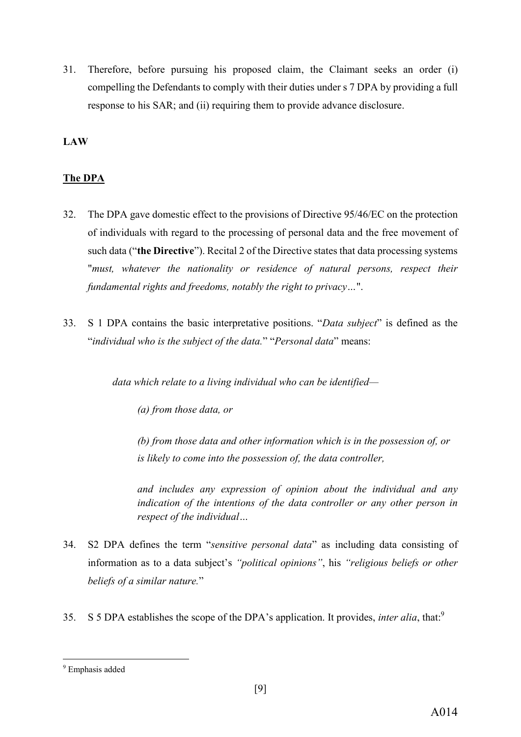31. Therefore, before pursuing his proposed claim, the Claimant seeks an order (i) compelling the Defendants to comply with their duties under s 7 DPA by providing a full response to his SAR; and (ii) requiring them to provide advance disclosure.

#### **LAW**

#### **The DPA**

- 32. The DPA gave domestic effect to the provisions of Directive 95/46/EC on the protection of individuals with regard to the processing of personal data and the free movement of such data ("**the Directive**"). Recital 2 of the Directive states that data processing systems "*must, whatever the nationality or residence of natural persons, respect their fundamental rights and freedoms, notably the right to privacy…*".
- 33. S 1 DPA contains the basic interpretative positions. "*Data subject*" is defined as the "*individual who is the subject of the data.*" "*Personal data*" means:

*data which relate to a living individual who can be identified—*

*(a) from those data, or*

*(b) from those data and other information which is in the possession of, or is likely to come into the possession of, the data controller,*

*and includes any expression of opinion about the individual and any indication of the intentions of the data controller or any other person in respect of the individual…*

- 34. S2 DPA defines the term "*sensitive personal data*" as including data consisting of information as to a data subject's *"political opinions"*, his *"religious beliefs or other beliefs of a similar nature.*"
- 35. S 5 DPA establishes the scope of the DPA's application. It provides, *inter alia*, that:9

**.** 

<sup>&</sup>lt;sup>9</sup> Emphasis added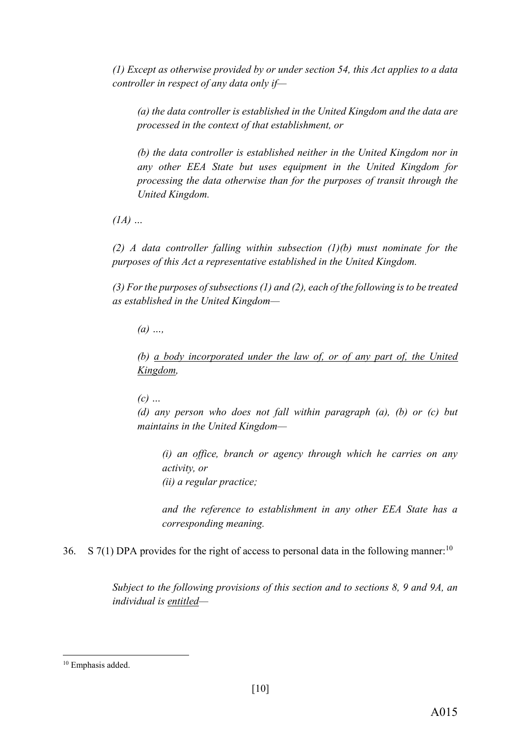*(1) Except as otherwise provided by or under section 54, this Act applies to a data controller in respect of any data only if—*

*(a) the data controller is established in the United Kingdom and the data are processed in the context of that establishment, or*

*(b) the data controller is established neither in the United Kingdom nor in any other EEA State but uses equipment in the United Kingdom for processing the data otherwise than for the purposes of transit through the United Kingdom.*

*(1A) …*

*(2) A data controller falling within subsection (1)(b) must nominate for the purposes of this Act a representative established in the United Kingdom.*

*(3) For the purposes of subsections (1) and (2), each of the following is to be treated as established in the United Kingdom—*

*(a) …,*

*(b) a body incorporated under the law of, or of any part of, the United Kingdom,*

*(c) …*

*(d) any person who does not fall within paragraph (a), (b) or (c) but maintains in the United Kingdom—*

*(i) an office, branch or agency through which he carries on any activity, or (ii) a regular practice;*

*and the reference to establishment in any other EEA State has a corresponding meaning.*

36. S 7(1) DPA provides for the right of access to personal data in the following manner:<sup>10</sup>

*Subject to the following provisions of this section and to sections 8, 9 and 9A, an individual is entitled—*

 $\overline{a}$ 

<sup>&</sup>lt;sup>10</sup> Emphasis added.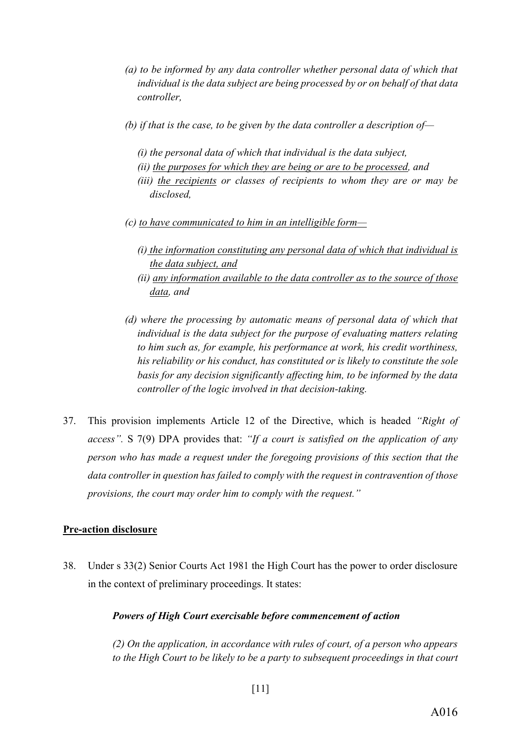- *(a) to be informed by any data controller whether personal data of which that individual is the data subject are being processed by or on behalf of that data controller,*
- *(b) if that is the case, to be given by the data controller a description of—*
	- *(i) the personal data of which that individual is the data subject,*
	- *(ii) the purposes for which they are being or are to be processed, and*
	- *(iii) the recipients or classes of recipients to whom they are or may be disclosed,*
- *(c) to have communicated to him in an intelligible form—*
	- *(i) the information constituting any personal data of which that individual is the data subject, and*
	- *(ii) any information available to the data controller as to the source of those data, and*
- *(d) where the processing by automatic means of personal data of which that individual is the data subject for the purpose of evaluating matters relating to him such as, for example, his performance at work, his credit worthiness, his reliability or his conduct, has constituted or is likely to constitute the sole basis for any decision significantly affecting him, to be informed by the data controller of the logic involved in that decision-taking.*
- 37. This provision implements Article 12 of the Directive, which is headed *"Right of access".* S 7(9) DPA provides that: *"If a court is satisfied on the application of any person who has made a request under the foregoing provisions of this section that the data controller in question has failed to comply with the request in contravention of those provisions, the court may order him to comply with the request."*

## **Pre-action disclosure**

38. Under s 33(2) Senior Courts Act 1981 the High Court has the power to order disclosure in the context of preliminary proceedings. It states:

## *Powers of High Court exercisable before commencement of action*

*(2) On the application, in accordance with rules of court, of a person who appears to the High Court to be likely to be a party to subsequent proceedings in that court*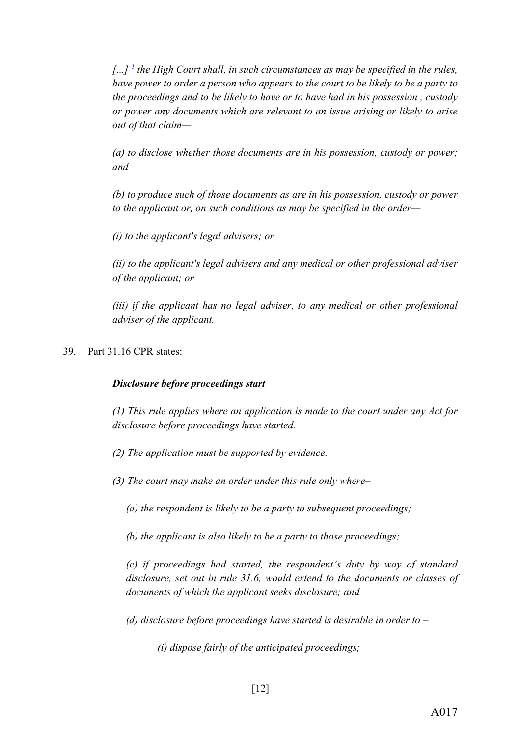$\left[ \ldots \right]$ <sup>1</sup> the High Court shall, in such circumstances as may be specified in the rules, *have power to order a person who appears to the court to be likely to be a party to the proceedings and to be likely to have or to have had in his possession , custody or power any documents which are relevant to an issue arising or likely to arise out of that claim—*

*(a) to disclose whether those documents are in his possession, custody or power; and*

*(b) to produce such of those documents as are in his possession, custody or power to the applicant or, on such conditions as may be specified in the order—*

*(i) to the applicant's legal advisers; or*

*(ii) to the applicant's legal advisers and any medical or other professional adviser of the applicant; or*

*(iii) if the applicant has no legal adviser, to any medical or other professional adviser of the applicant.*

39. Part 31.16 CPR states:

#### *Disclosure before proceedings start*

*(1) This rule applies where an application is made to the court under any Act for disclosure before proceedings have started.*

- *(2) The application must be supported by evidence.*
- *(3) The court may make an order under this rule only where–*

*(a) the respondent is likely to be a party to subsequent proceedings;*

*(b) the applicant is also likely to be a party to those proceedings;*

*(c) if proceedings had started, the respondent's duty by way of standard disclosure, set out in rule 31.6, would extend to the documents or classes of documents of which the applicant seeks disclosure; and*

*(d) disclosure before proceedings have started is desirable in order to –*

*(i) dispose fairly of the anticipated proceedings;*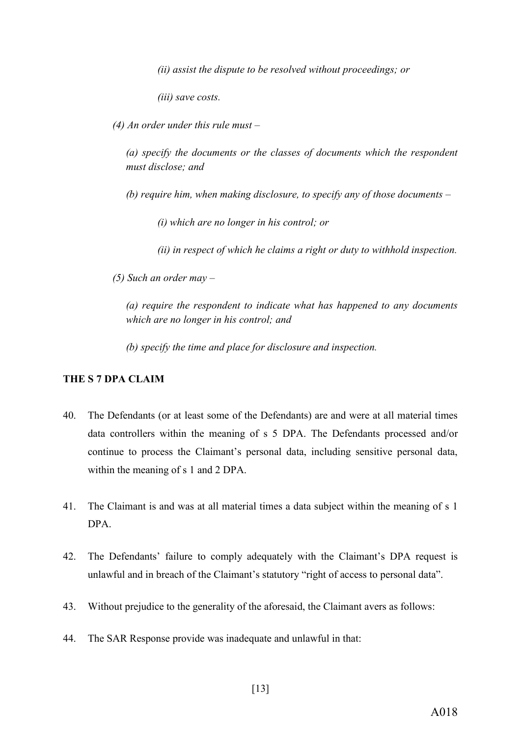*(ii) assist the dispute to be resolved without proceedings; or*

*(iii) save costs.*

*(4) An order under this rule must –*

*(a) specify the documents or the classes of documents which the respondent must disclose; and*

*(b) require him, when making disclosure, to specify any of those documents –*

*(i) which are no longer in his control; or*

*(ii) in respect of which he claims a right or duty to withhold inspection.*

*(5) Such an order may –*

*(a) require the respondent to indicate what has happened to any documents which are no longer in his control; and*

*(b) specify the time and place for disclosure and inspection.*

#### **THE S 7 DPA CLAIM**

- <span id="page-18-0"></span>40. The Defendants (or at least some of the Defendants) are and were at all material times data controllers within the meaning of s 5 DPA. The Defendants processed and/or continue to process the Claimant's personal data, including sensitive personal data, within the meaning of s 1 and 2 DPA.
- 41. The Claimant is and was at all material times a data subject within the meaning of s 1 DPA.
- 42. The Defendants' failure to comply adequately with the Claimant's DPA request is unlawful and in breach of the Claimant's statutory "right of access to personal data".
- 43. Without prejudice to the generality of the aforesaid, the Claimant avers as follows:
- 44. The SAR Response provide was inadequate and unlawful in that: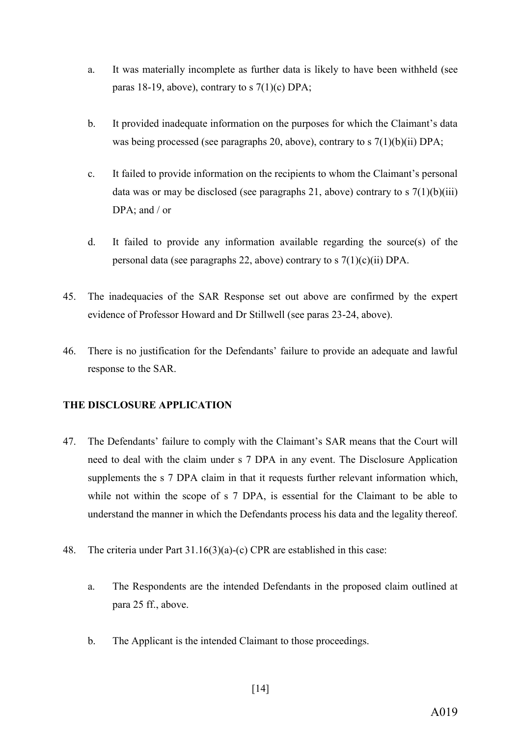- a. It was materially incomplete as further data is likely to have been withheld (see paras [18-](#page-10-0)[19,](#page-10-1) above), contrary to s  $7(1)(c)$  DPA;
- b. It provided inadequate information on the purposes for which the Claimant's data was being processed (see paragraphs [20,](#page-10-2) above), contrary to s 7(1)(b)(ii) DPA;
- c. It failed to provide information on the recipients to whom the Claimant's personal data was or may be disclosed (see paragraphs [21,](#page-11-0) above) contrary to s  $7(1)(b)(iii)$ DPA; and / or
- d. It failed to provide any information available regarding the source(s) of the personal data (see paragraphs [22,](#page-11-1) above) contrary to s  $7(1)(c)(ii)$  DPA.
- 45. The inadequacies of the SAR Response set out above are confirmed by the expert evidence of Professor Howard and Dr Stillwell (see paras [23-](#page-11-2)[24,](#page-11-3) above).
- 46. There is no justification for the Defendants' failure to provide an adequate and lawful response to the SAR.

#### **THE DISCLOSURE APPLICATION**

- 47. The Defendants' failure to comply with the Claimant's SAR means that the Court will need to deal with the claim under s 7 DPA in any event. The Disclosure Application supplements the s 7 DPA claim in that it requests further relevant information which, while not within the scope of s 7 DPA, is essential for the Claimant to be able to understand the manner in which the Defendants process his data and the legality thereof.
- 48. The criteria under Part 31.16(3)(a)-(c) CPR are established in this case:
	- a. The Respondents are the intended Defendants in the proposed claim outlined at para [25](#page-12-0) ff., above.
	- b. The Applicant is the intended Claimant to those proceedings.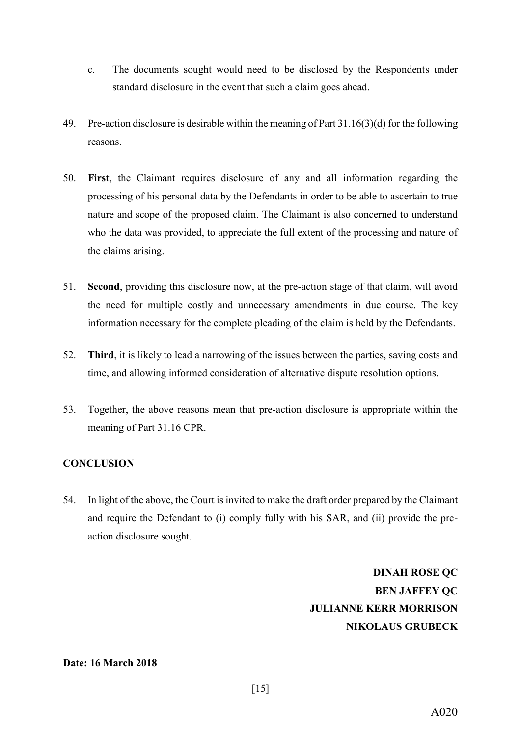- c. The documents sought would need to be disclosed by the Respondents under standard disclosure in the event that such a claim goes ahead.
- 49. Pre-action disclosure is desirable within the meaning of Part 31.16(3)(d) for the following reasons.
- 50. **First**, the Claimant requires disclosure of any and all information regarding the processing of his personal data by the Defendants in order to be able to ascertain to true nature and scope of the proposed claim. The Claimant is also concerned to understand who the data was provided, to appreciate the full extent of the processing and nature of the claims arising.
- 51. **Second**, providing this disclosure now, at the pre-action stage of that claim, will avoid the need for multiple costly and unnecessary amendments in due course. The key information necessary for the complete pleading of the claim is held by the Defendants.
- 52. **Third**, it is likely to lead a narrowing of the issues between the parties, saving costs and time, and allowing informed consideration of alternative dispute resolution options.
- 53. Together, the above reasons mean that pre-action disclosure is appropriate within the meaning of Part 31.16 CPR.

## **CONCLUSION**

54. In light of the above, the Court is invited to make the draft order prepared by the Claimant and require the Defendant to (i) comply fully with his SAR, and (ii) provide the preaction disclosure sought.

> **DINAH ROSE QC BEN JAFFEY QC JULIANNE KERR MORRISON NIKOLAUS GRUBECK**

#### **Date: 16 March 2018**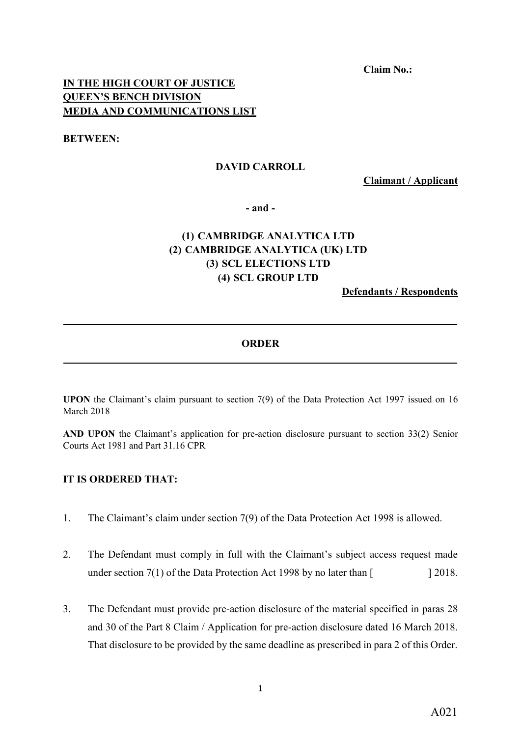**Claim No.:**

## **IN THE HIGH COURT OF JUSTICE QUEEN'S BENCH DIVISION MEDIA AND COMMUNICATIONS LIST**

**BETWEEN:**

#### **DAVID CARROLL**

**Claimant / Applicant**

**- and -**

# **(1) CAMBRIDGE ANALYTICA LTD (2) CAMBRIDGE ANALYTICA (UK) LTD (3) SCL ELECTIONS LTD (4) SCL GROUP LTD**

**Defendants / Respondents**

#### **ORDER \_\_\_\_\_\_\_\_\_\_\_\_\_\_\_\_\_\_\_\_\_\_\_\_\_\_\_\_\_\_\_\_\_\_\_\_\_\_\_\_\_\_\_\_\_\_\_\_\_\_\_\_\_\_\_\_\_\_\_\_\_\_\_\_\_\_\_\_\_\_\_\_\_\_\_**

**\_\_\_\_\_\_\_\_\_\_\_\_\_\_\_\_\_\_\_\_\_\_\_\_\_\_\_\_\_\_\_\_\_\_\_\_\_\_\_\_\_\_\_\_\_\_\_\_\_\_\_\_\_\_\_\_\_\_\_\_\_\_\_\_\_\_\_\_\_\_\_\_\_\_\_**

**UPON** the Claimant's claim pursuant to section 7(9) of the Data Protection Act 1997 issued on 16 March 2018

**AND UPON** the Claimant's application for pre-action disclosure pursuant to section 33(2) Senior Courts Act 1981 and Part 31.16 CPR

#### **IT IS ORDERED THAT:**

- 1. The Claimant's claim under section 7(9) of the Data Protection Act 1998 is allowed.
- 2. The Defendant must comply in full with the Claimant's subject access request made under section  $7(1)$  of the Data Protection Act 1998 by no later than  $\lceil$  2018.
- 3. The Defendant must provide pre-action disclosure of the material specified in paras 28 and 30 of the Part 8 Claim / Application for pre-action disclosure dated 16 March 2018. That disclosure to be provided by the same deadline as prescribed in para 2 of this Order.